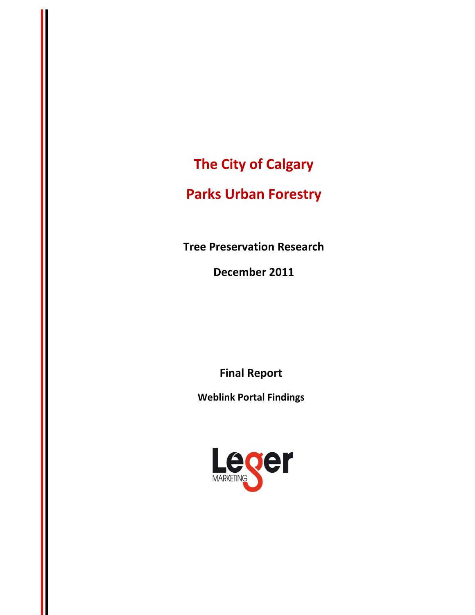**The City of Calgary**

# **Parks Urban Forestry**

**Tree Preservation Research**

**December 2011** 

**Final Report**

**Weblink Portal Findings**

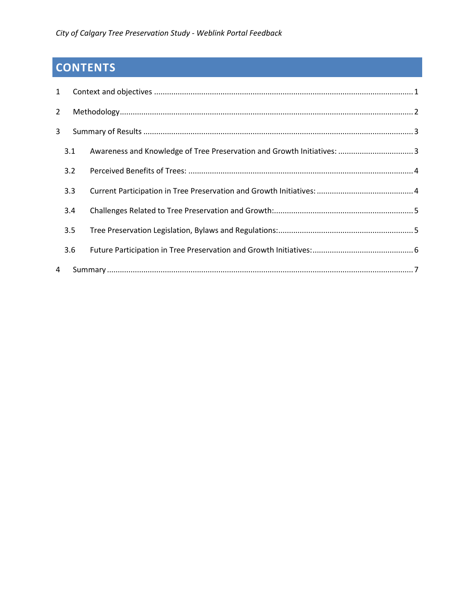# **CONTENTS**

| $\mathbf{1}$   |     |                                                                        |  |
|----------------|-----|------------------------------------------------------------------------|--|
| $\overline{2}$ |     |                                                                        |  |
| 3              |     |                                                                        |  |
|                | 3.1 | Awareness and Knowledge of Tree Preservation and Growth Initiatives: 3 |  |
|                | 3.2 |                                                                        |  |
|                | 3.3 |                                                                        |  |
|                | 3.4 |                                                                        |  |
|                | 3.5 |                                                                        |  |
|                | 3.6 |                                                                        |  |
| 4              |     |                                                                        |  |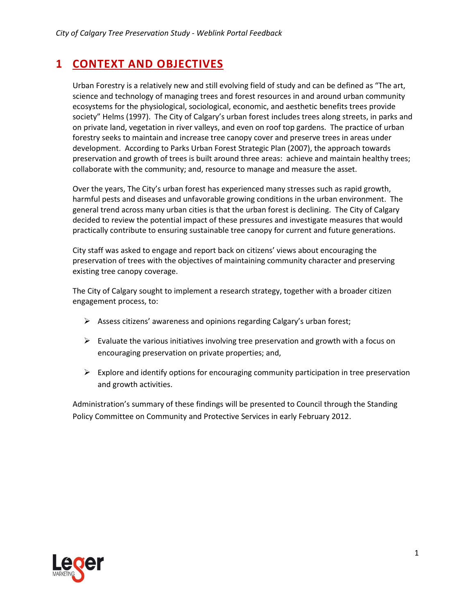# <span id="page-2-0"></span>**1 CONTEXT AND OBJECTIVES**

Urban Forestry is a relatively new and still evolving field of study and can be defined as "The art, science and technology of managing trees and forest resources in and around urban community ecosystems for the physiological, sociological, economic, and aesthetic benefits trees provide society" Helms (1997). The City of Calgary's urban forest includes trees along streets, in parks and on private land, vegetation in river valleys, and even on roof top gardens. The practice of urban forestry seeks to maintain and increase tree canopy cover and preserve trees in areas under development. According to Parks Urban Forest Strategic Plan (2007), the approach towards preservation and growth of trees is built around three areas: achieve and maintain healthy trees; collaborate with the community; and, resource to manage and measure the asset.

Over the years, The City's urban forest has experienced many stresses such as rapid growth, harmful pests and diseases and unfavorable growing conditions in the urban environment. The general trend across many urban cities is that the urban forest is declining. The City of Calgary decided to review the potential impact of these pressures and investigate measures that would practically contribute to ensuring sustainable tree canopy for current and future generations.

City staff was asked to engage and report back on citizens' views about encouraging the preservation of trees with the objectives of maintaining community character and preserving existing tree canopy coverage.

The City of Calgary sought to implement a research strategy, together with a broader citizen engagement process, to:

- $\triangleright$  Assess citizens' awareness and opinions regarding Calgary's urban forest;
- $\triangleright$  Evaluate the various initiatives involving tree preservation and growth with a focus on encouraging preservation on private properties; and,
- $\triangleright$  Explore and identify options for encouraging community participation in tree preservation and growth activities.

Administration's summary of these findings will be presented to Council through the Standing Policy Committee on Community and Protective Services in early February 2012.

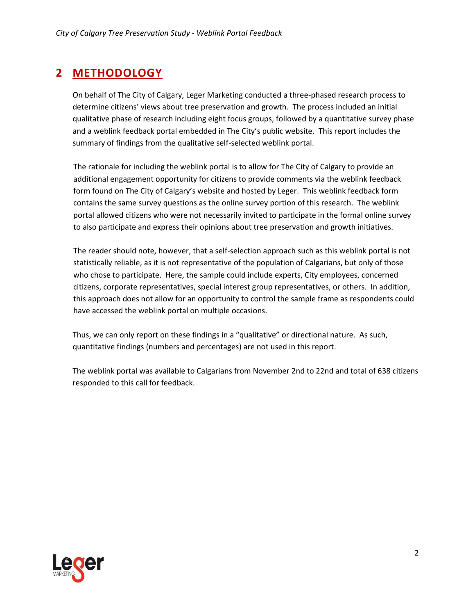# <span id="page-3-0"></span>**2 METHODOLOGY**

On behalf of The City of Calgary, Leger Marketing conducted a three-phased research process to determine citizens' views about tree preservation and growth. The process included an initial qualitative phase of research including eight focus groups, followed by a quantitative survey phase and a weblink feedback portal embedded in The City's public website. This report includes the summary of findings from the qualitative self-selected weblink portal.

The rationale for including the weblink portal is to allow for The City of Calgary to provide an additional engagement opportunity for citizens to provide comments via the weblink feedback form found on The City of Calgary's website and hosted by Leger. This weblink feedback form contains the same survey questions as the online survey portion of this research. The weblink portal allowed citizens who were not necessarily invited to participate in the formal online survey to also participate and express their opinions about tree preservation and growth initiatives.

The reader should note, however, that a self-selection approach such as this weblink portal is not statistically reliable, as it is not representative of the population of Calgarians, but only of those who chose to participate. Here, the sample could include experts, City employees, concerned citizens, corporate representatives, special interest group representatives, or others. In addition, this approach does not allow for an opportunity to control the sample frame as respondents could have accessed the weblink portal on multiple occasions.

Thus, we can only report on these findings in a "qualitative" or directional nature. As such, quantitative findings (numbers and percentages) are not used in this report.

The weblink portal was available to Calgarians from November 2nd to 22nd and total of 638 citizens responded to this call for feedback.

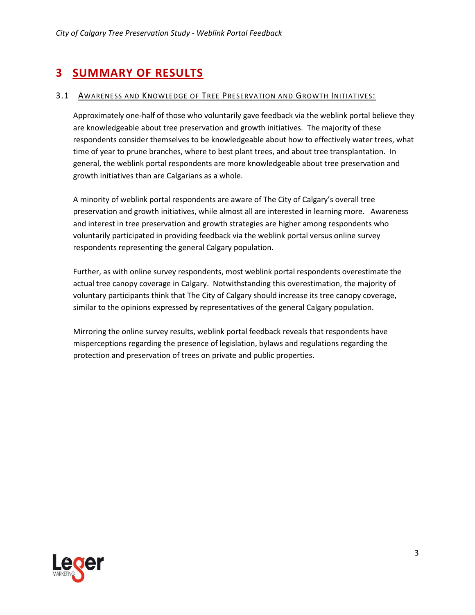# <span id="page-4-0"></span>**3 SUMMARY OF RESULTS**

#### <span id="page-4-1"></span>3.1 AWARENESS AND KNOWLEDGE OF TREE PRESERVATION AND GROWTH INITIATIVES:

Approximately one-half of those who voluntarily gave feedback via the weblink portal believe they are knowledgeable about tree preservation and growth initiatives. The majority of these respondents consider themselves to be knowledgeable about how to effectively water trees, what time of year to prune branches, where to best plant trees, and about tree transplantation. In general, the weblink portal respondents are more knowledgeable about tree preservation and growth initiatives than are Calgarians as a whole.

A minority of weblink portal respondents are aware of The City of Calgary's overall tree preservation and growth initiatives, while almost all are interested in learning more. Awareness and interest in tree preservation and growth strategies are higher among respondents who voluntarily participated in providing feedback via the weblink portal versus online survey respondents representing the general Calgary population.

Further, as with online survey respondents, most weblink portal respondents overestimate the actual tree canopy coverage in Calgary. Notwithstanding this overestimation, the majority of voluntary participants think that The City of Calgary should increase its tree canopy coverage, similar to the opinions expressed by representatives of the general Calgary population.

Mirroring the online survey results, weblink portal feedback reveals that respondents have misperceptions regarding the presence of legislation, bylaws and regulations regarding the protection and preservation of trees on private and public properties.

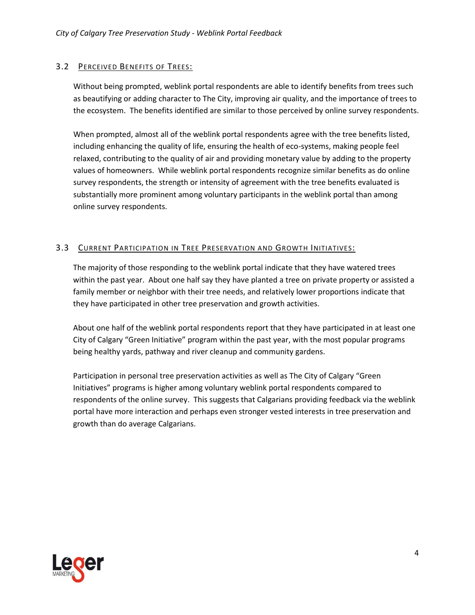## <span id="page-5-0"></span>3.2 PERCEIVED BENEFITS OF TREES:

Without being prompted, weblink portal respondents are able to identify benefits from trees such as beautifying or adding character to The City, improving air quality, and the importance of trees to the ecosystem. The benefits identified are similar to those perceived by online survey respondents.

When prompted, almost all of the weblink portal respondents agree with the tree benefits listed, including enhancing the quality of life, ensuring the health of eco-systems, making people feel relaxed, contributing to the quality of air and providing monetary value by adding to the property values of homeowners. While weblink portal respondents recognize similar benefits as do online survey respondents, the strength or intensity of agreement with the tree benefits evaluated is substantially more prominent among voluntary participants in the weblink portal than among online survey respondents.

### <span id="page-5-1"></span>3.3 CURRENT PARTICIPATION IN TREE PRESERVATION AND GROWTH INITIATIVES:

The majority of those responding to the weblink portal indicate that they have watered trees within the past year. About one half say they have planted a tree on private property or assisted a family member or neighbor with their tree needs, and relatively lower proportions indicate that they have participated in other tree preservation and growth activities.

About one half of the weblink portal respondents report that they have participated in at least one City of Calgary "Green Initiative" program within the past year, with the most popular programs being healthy yards, pathway and river cleanup and community gardens.

Participation in personal tree preservation activities as well as The City of Calgary "Green Initiatives" programs is higher among voluntary weblink portal respondents compared to respondents of the online survey. This suggests that Calgarians providing feedback via the weblink portal have more interaction and perhaps even stronger vested interests in tree preservation and growth than do average Calgarians.

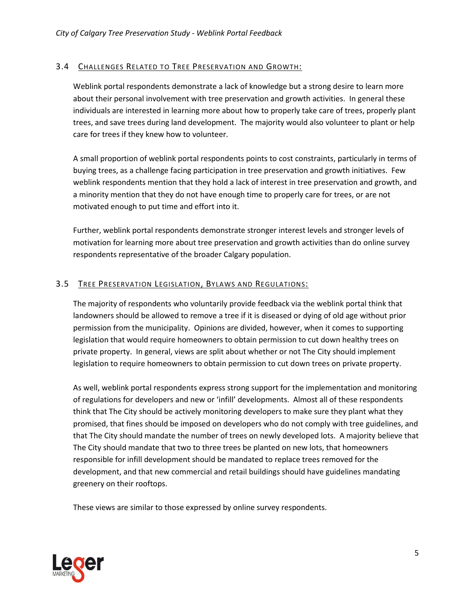### <span id="page-6-0"></span>3.4 CHALLENGES RELATED TO TREE PRESERVATION AND GROWTH:

Weblink portal respondents demonstrate a lack of knowledge but a strong desire to learn more about their personal involvement with tree preservation and growth activities. In general these individuals are interested in learning more about how to properly take care of trees, properly plant trees, and save trees during land development. The majority would also volunteer to plant or help care for trees if they knew how to volunteer.

A small proportion of weblink portal respondents points to cost constraints, particularly in terms of buying trees, as a challenge facing participation in tree preservation and growth initiatives. Few weblink respondents mention that they hold a lack of interest in tree preservation and growth, and a minority mention that they do not have enough time to properly care for trees, or are not motivated enough to put time and effort into it.

Further, weblink portal respondents demonstrate stronger interest levels and stronger levels of motivation for learning more about tree preservation and growth activities than do online survey respondents representative of the broader Calgary population.

### <span id="page-6-1"></span>3.5 TREE PRESERVATION LEGISLATION, BYLAWS AND REGULATIONS:

The majority of respondents who voluntarily provide feedback via the weblink portal think that landowners should be allowed to remove a tree if it is diseased or dying of old age without prior permission from the municipality. Opinions are divided, however, when it comes to supporting legislation that would require homeowners to obtain permission to cut down healthy trees on private property. In general, views are split about whether or not The City should implement legislation to require homeowners to obtain permission to cut down trees on private property.

As well, weblink portal respondents express strong support for the implementation and monitoring of regulations for developers and new or 'infill' developments. Almost all of these respondents think that The City should be actively monitoring developers to make sure they plant what they promised, that fines should be imposed on developers who do not comply with tree guidelines, and that The City should mandate the number of trees on newly developed lots. A majority believe that The City should mandate that two to three trees be planted on new lots, that homeowners responsible for infill development should be mandated to replace trees removed for the development, and that new commercial and retail buildings should have guidelines mandating greenery on their rooftops.

These views are similar to those expressed by online survey respondents.

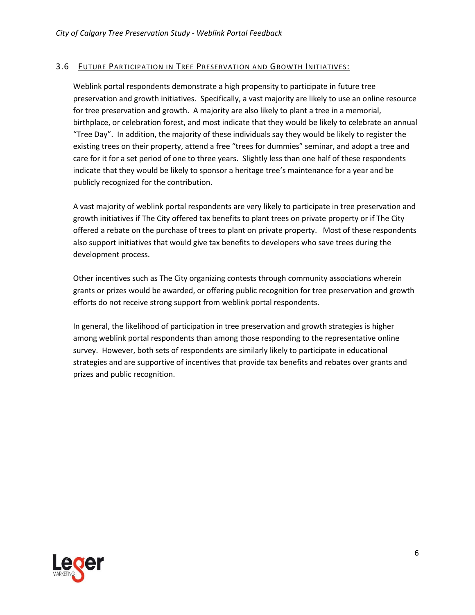### <span id="page-7-0"></span>3.6 FUTURE PARTICIPATION IN TREE PRESERVATION AND GROWTH INITIATIVES:

Weblink portal respondents demonstrate a high propensity to participate in future tree preservation and growth initiatives. Specifically, a vast majority are likely to use an online resource for tree preservation and growth. A majority are also likely to plant a tree in a memorial, birthplace, or celebration forest, and most indicate that they would be likely to celebrate an annual "Tree Day". In addition, the majority of these individuals say they would be likely to register the existing trees on their property, attend a free "trees for dummies" seminar, and adopt a tree and care for it for a set period of one to three years. Slightly less than one half of these respondents indicate that they would be likely to sponsor a heritage tree's maintenance for a year and be publicly recognized for the contribution.

A vast majority of weblink portal respondents are very likely to participate in tree preservation and growth initiatives if The City offered tax benefits to plant trees on private property or if The City offered a rebate on the purchase of trees to plant on private property. Most of these respondents also support initiatives that would give tax benefits to developers who save trees during the development process.

Other incentives such as The City organizing contests through community associations wherein grants or prizes would be awarded, or offering public recognition for tree preservation and growth efforts do not receive strong support from weblink portal respondents.

In general, the likelihood of participation in tree preservation and growth strategies is higher among weblink portal respondents than among those responding to the representative online survey. However, both sets of respondents are similarly likely to participate in educational strategies and are supportive of incentives that provide tax benefits and rebates over grants and prizes and public recognition.